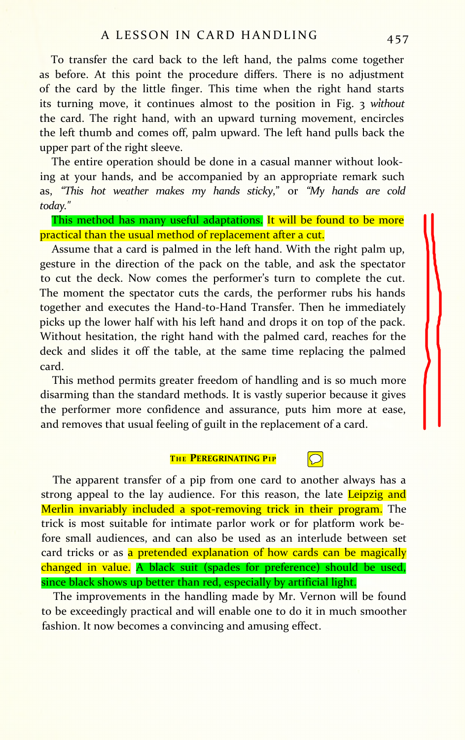To transfer the card back to the left hand, the palms come together as before. At this point the procedure differs. There is no adjustment of the card by the little finger. This time when the right hand starts its turning move, it continues almost to the position in Fig. 3 *without* the card. The right hand, with an upward turning movement, encircles the left thumb and comes off, palm upward. The left hand pulls back the upper part of the right sleeve.

The entire operation should be done in a casual manner without looking at your hands, and be accompanied by an appropriate remark such as, *"This hot weather makes my hands sticky*," or *"My hands are cold today."*

This method has many useful adaptations. It will be found to be more practical than the usual method of replacement after a cut.

Assume that a card is palmed in the left hand. With the right palm up, gesture in the direction of the pack on the table, and ask the spectator to cut the deck. Now comes the performer's turn to complete the cut. The moment the spectator cuts the cards, the performer rubs his hands together and executes the Hand-to-Hand Transfer. Then he immediately picks up the lower half with his left hand and drops it on top of the pack. Without hesitation, the right hand with the palmed card, reaches for the deck and slides it off the table, at the same time replacing the palmed card.

This method permits greater freedom of handling and is so much more disarming than the standard methods. It is vastly superior because it gives the performer more confidence and assurance, puts him more at ease, and removes that usual feeling of guilt in the replacement of a card.

## **Th e Peregrinating Pi p**

The apparent transfer of a pip from one card to another always has a strong appeal to the lay audience. For this reason, the late Leipzig and Merlin invariably included a spot-removing trick in their program. The trick is most suitable for intimate parlor work or for platform work before small audiences, and can also be used as an interlude between set card tricks or as a pretended explanation of how cards can be magically changed in value. A black suit (spades for preference) should be used, since black shows up better than red, especially by artificial light.

The improvements in the handling made by Mr. Vernon will be found to be exceedingly practical and will enable one to do it in much smoother fashion. It now becomes a convincing and amusing effect.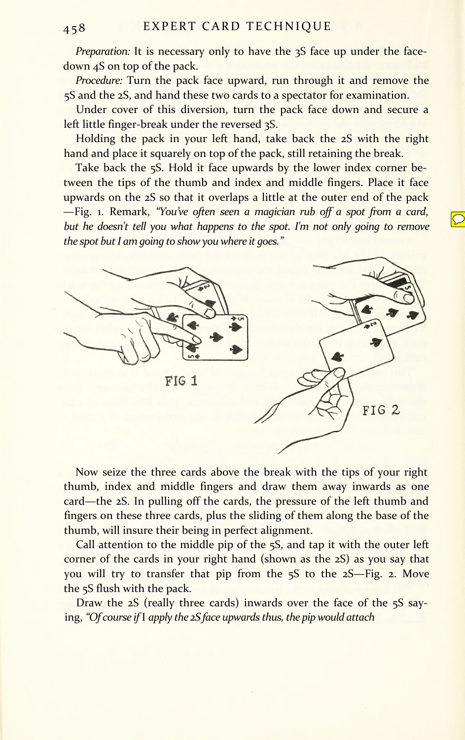*Preparation:* It is necessary only to have the 3S face up under the facedown 4S on top of the pack.

*Procedure:* Turn the pack face upward, run through it and remove the 5S and the 2S, and hand these two cards to a spectator for examination.

Under cover of this diversion, turn the pack face down and secure a left little finger-break under the reversed 3S.

Holding the pack in your left hand, take back the 2S with the right hand and place it squarely on top of the pack, still retaining the break.

Take back the 5S. Hold it face upwards by the lower index corner between the tips of the thumb and index and middle fingers. Place it face upwards on the 2S so that it overlaps a little at the outer end of the pack —Fig. 1. Remark, *"You've often seen a magician rub off a spot from a card*, *but he doesn't tell you what happens to the spot. I'm not only going to remove the spot but I am going to show you where it goes."*



Now seize the three cards above the break with the tips of your right thumb, index and middle fingers and draw them away inwards as one card—the 2S. In pulling off the cards, the pressure of the left thumb and fingers on these three cards, plus the sliding of them along the base of the thumb, will insure their being in perfect alignment.

Call attention to the middle pip of the 5S, and tap it with the outer left corner of the cards in your right hand (shown as the 2S) as you say that you will try to transfer that pip from the 5S to the 2S—Fig. 2. Move the 5S flush with the pack.

Draw the 2S (really three cards) inwards over the face of the 5S saying, *"Of course if* I *apply the 2S face upwards thus, the pip would attach*